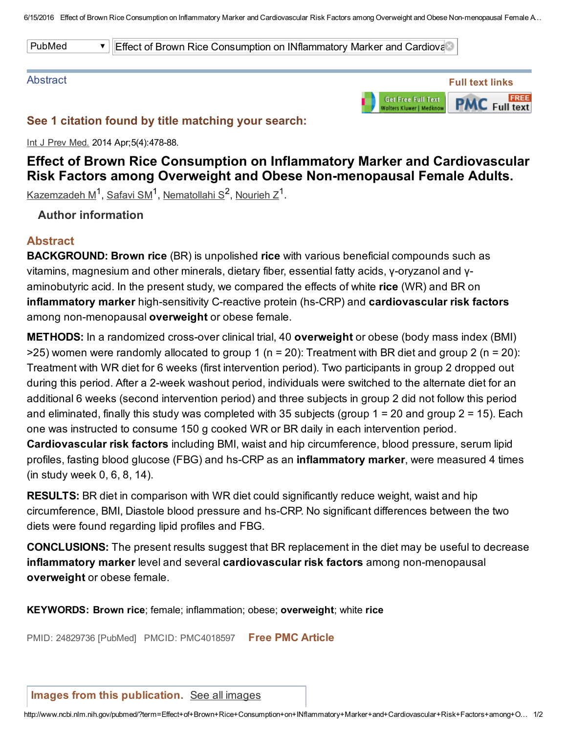PubMed **Effect of Brown Rice Consumption on INflammatory Marker and Cardiova** 

#### Abstract



### See 1 citation found by title matching your search:

Int J Prev Med. 2014 Apr; 5(4): 478-88.

# Effect of Brown Rice Consumption on Inflammatory Marker and Cardiovascular Risk Factors among Overweight and Obese Non-menopausal Female Adults.

<u>[Kazemzadeh](http://www.ncbi.nlm.nih.gov/pubmed/?term=Kazemzadeh%20M%5BAuthor%5D&cauthor=true&cauthor_uid=24829736) M $^1$ , [Safavi](http://www.ncbi.nlm.nih.gov/pubmed/?term=Safavi%20SM%5BAuthor%5D&cauthor=true&cauthor_uid=24829736) SM $^1$ , [Nematollahi](http://www.ncbi.nlm.nih.gov/pubmed/?term=Nematollahi%20S%5BAuthor%5D&cauthor=true&cauthor_uid=24829736) S $^2$ , [Nourieh](http://www.ncbi.nlm.nih.gov/pubmed/?term=Nourieh%20Z%5BAuthor%5D&cauthor=true&cauthor_uid=24829736) Z $^1$ .</u>

## Author information

## Abstract

**BACKGROUND: Brown rice** (BR) is unpolished rice with various beneficial compounds such as vitamins, magnesium and other minerals, dietary fiber, essential fatty acids, y-oryzanol and yaminobutyric acid. In the present study, we compared the effects of white rice (WR) and BR on inflammatory marker high-sensitivity C-reactive protein (hs-CRP) and cardiovascular risk factors among non-menopausal overweight or obese female.

METHODS: In a randomized cross-over clinical trial, 40 overweight or obese (body mass index (BMI)  $>$ 25) women were randomly allocated to group 1 (n = 20): Treatment with BR diet and group 2 (n = 20): Treatment with WR diet for 6 weeks (first intervention period). Two participants in group 2 dropped out during this period. After a 2-week washout period, individuals were switched to the alternate diet for an additional 6 weeks (second intervention period) and three subjects in group 2 did not follow this period and eliminated, finally this study was completed with 35 subjects (group  $1 = 20$  and group  $2 = 15$ ). Each one was instructed to consume 150 g cooked WR or BR daily in each intervention period.

Cardiovascular risk factors including BMI, waist and hip circumference, blood pressure, serum lipid profiles, fasting blood glucose (FBG) and hs-CRP as an **inflammatory marker**, were measured 4 times (in study week 0, 6, 8, 14).

**RESULTS:** BR diet in comparison with WR diet could significantly reduce weight, waist and hip circumference, BMI, Diastole blood pressure and hsCRP. No significant differences between the two diets were found regarding lipid profiles and FBG.

**CONCLUSIONS:** The present results suggest that BR replacement in the diet may be useful to decrease inflammatory marker level and several cardiovascular risk factors among non-menopausal overweight or obese female.

KEYWORDS: Brown rice; female; inflammation; obese; overweight; white rice

PMID: 24829736 [PubMed] PMCID: PMC4018597 Free PMC [Article](http://www.ncbi.nlm.nih.gov/pmc/articles/PMC4018597/)

#### Images from this [publication.](http://www.ncbi.nlm.nih.gov/pmc?term=24829736[PMID]&report=imagesdocsum) See all images